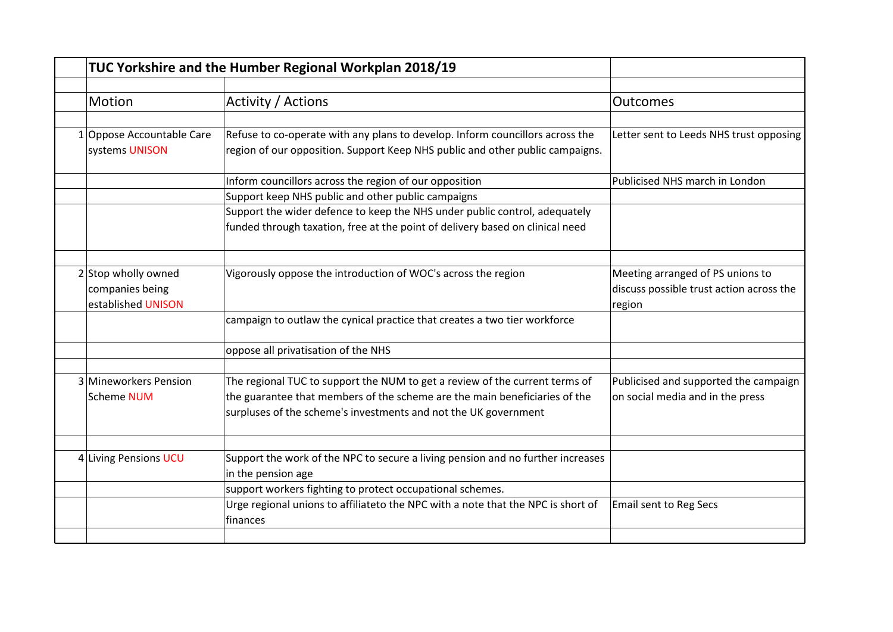|                           | TUC Yorkshire and the Humber Regional Workplan 2018/19                                                |                                          |
|---------------------------|-------------------------------------------------------------------------------------------------------|------------------------------------------|
|                           |                                                                                                       |                                          |
| Motion                    | Activity / Actions                                                                                    | Outcomes                                 |
| 1 Oppose Accountable Care | Refuse to co-operate with any plans to develop. Inform councillors across the                         | Letter sent to Leeds NHS trust opposing  |
| systems UNISON            | region of our opposition. Support Keep NHS public and other public campaigns.                         |                                          |
|                           | Inform councillors across the region of our opposition                                                | Publicised NHS march in London           |
|                           | Support keep NHS public and other public campaigns                                                    |                                          |
|                           | Support the wider defence to keep the NHS under public control, adequately                            |                                          |
|                           | funded through taxation, free at the point of delivery based on clinical need                         |                                          |
| 2 Stop wholly owned       | Vigorously oppose the introduction of WOC's across the region                                         | Meeting arranged of PS unions to         |
| companies being           |                                                                                                       | discuss possible trust action across the |
| established UNISON        |                                                                                                       | region                                   |
|                           | campaign to outlaw the cynical practice that creates a two tier workforce                             |                                          |
|                           | oppose all privatisation of the NHS                                                                   |                                          |
| 3 Mineworkers Pension     | The regional TUC to support the NUM to get a review of the current terms of                           | Publicised and supported the campaign    |
| Scheme NUM                | the guarantee that members of the scheme are the main beneficiaries of the                            | on social media and in the press         |
|                           | surpluses of the scheme's investments and not the UK government                                       |                                          |
|                           |                                                                                                       |                                          |
| 4 Living Pensions UCU     | Support the work of the NPC to secure a living pension and no further increases<br>in the pension age |                                          |
|                           | support workers fighting to protect occupational schemes.                                             |                                          |
|                           | Urge regional unions to affiliateto the NPC with a note that the NPC is short of<br>finances          | <b>Email sent to Reg Secs</b>            |
|                           |                                                                                                       |                                          |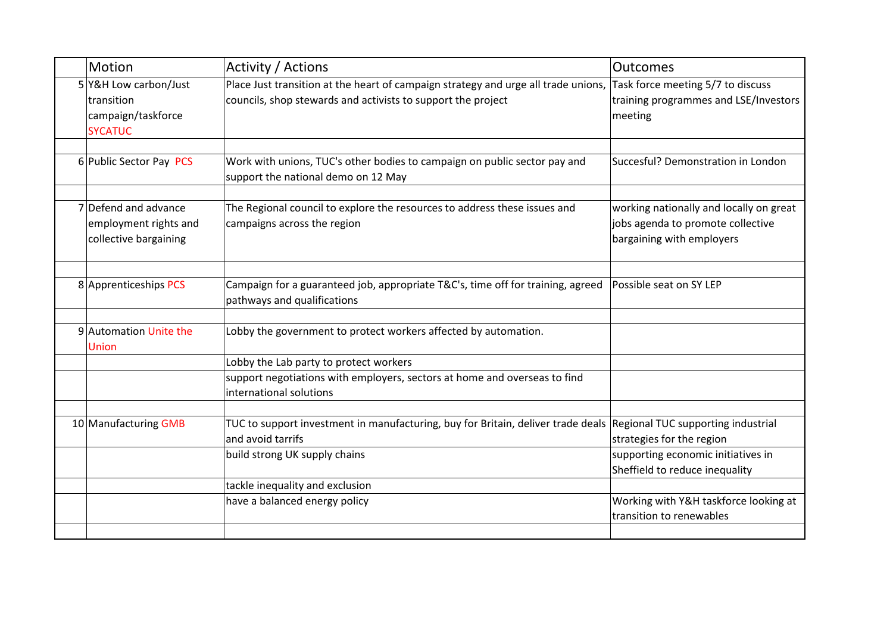| Motion                | Activity / Actions                                                                                                                                                                                               | Outcomes                                                                                                  |
|-----------------------|------------------------------------------------------------------------------------------------------------------------------------------------------------------------------------------------------------------|-----------------------------------------------------------------------------------------------------------|
| <b>SYCATUC</b>        | Place Just transition at the heart of campaign strategy and urge all trade unions,<br>councils, shop stewards and activists to support the project                                                               | Task force meeting 5/7 to discuss<br>training programmes and LSE/Investors<br>meeting                     |
|                       | Work with unions, TUC's other bodies to campaign on public sector pay and<br>support the national demo on 12 May                                                                                                 | Succesful? Demonstration in London                                                                        |
| collective bargaining | The Regional council to explore the resources to address these issues and<br>campaigns across the region                                                                                                         | working nationally and locally on great<br>jobs agenda to promote collective<br>bargaining with employers |
|                       | Campaign for a guaranteed job, appropriate T&C's, time off for training, agreed<br>pathways and qualifications                                                                                                   | Possible seat on SY LEP                                                                                   |
| Union                 | Lobby the government to protect workers affected by automation.                                                                                                                                                  |                                                                                                           |
|                       | Lobby the Lab party to protect workers                                                                                                                                                                           |                                                                                                           |
|                       | support negotiations with employers, sectors at home and overseas to find<br>international solutions                                                                                                             |                                                                                                           |
|                       | TUC to support investment in manufacturing, buy for Britain, deliver trade deals Regional TUC supporting industrial<br>and avoid tarrifs                                                                         | strategies for the region                                                                                 |
|                       |                                                                                                                                                                                                                  | supporting economic initiatives in<br>Sheffield to reduce inequality                                      |
|                       | tackle inequality and exclusion                                                                                                                                                                                  |                                                                                                           |
|                       | have a balanced energy policy                                                                                                                                                                                    | Working with Y&H taskforce looking at<br>transition to renewables                                         |
|                       | 5 Y&H Low carbon/Just<br>transition<br>campaign/taskforce<br>6 Public Sector Pay PCS<br>7 Defend and advance<br>employment rights and<br>8 Apprenticeships PCS<br>9 Automation Unite the<br>10 Manufacturing GMB | build strong UK supply chains                                                                             |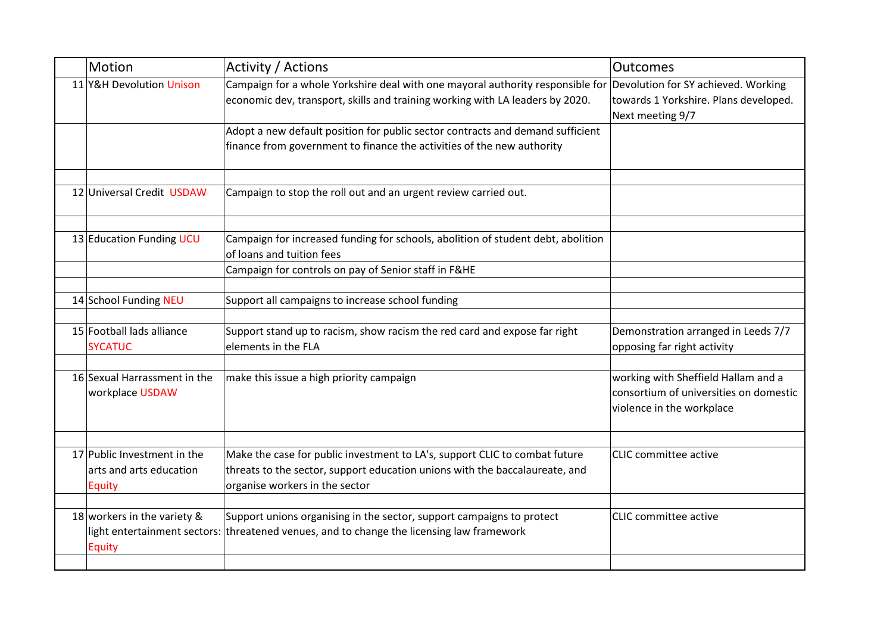| Motion                            | Activity / Actions                                                                                                                                                                                                                       | Outcomes                                                                                                                                                                                                                            |
|-----------------------------------|------------------------------------------------------------------------------------------------------------------------------------------------------------------------------------------------------------------------------------------|-------------------------------------------------------------------------------------------------------------------------------------------------------------------------------------------------------------------------------------|
|                                   | economic dev, transport, skills and training working with LA leaders by 2020.                                                                                                                                                            | Devolution for SY achieved. Working<br>towards 1 Yorkshire. Plans developed.<br>Next meeting 9/7                                                                                                                                    |
|                                   | Adopt a new default position for public sector contracts and demand sufficient<br>finance from government to finance the activities of the new authority                                                                                 |                                                                                                                                                                                                                                     |
|                                   | Campaign to stop the roll out and an urgent review carried out.                                                                                                                                                                          |                                                                                                                                                                                                                                     |
|                                   | Campaign for increased funding for schools, abolition of student debt, abolition<br>of loans and tuition fees                                                                                                                            |                                                                                                                                                                                                                                     |
|                                   |                                                                                                                                                                                                                                          |                                                                                                                                                                                                                                     |
|                                   | Support all campaigns to increase school funding                                                                                                                                                                                         |                                                                                                                                                                                                                                     |
| <b>SYCATUC</b>                    | Support stand up to racism, show racism the red card and expose far right<br>elements in the FLA                                                                                                                                         | Demonstration arranged in Leeds 7/7<br>opposing far right activity                                                                                                                                                                  |
| workplace USDAW                   | make this issue a high priority campaign                                                                                                                                                                                                 | working with Sheffield Hallam and a<br>consortium of universities on domestic<br>violence in the workplace                                                                                                                          |
| arts and arts education<br>Equity | Make the case for public investment to LA's, support CLIC to combat future<br>threats to the sector, support education unions with the baccalaureate, and<br>organise workers in the sector                                              | CLIC committee active                                                                                                                                                                                                               |
| <b>Equity</b>                     | Support unions organising in the sector, support campaigns to protect                                                                                                                                                                    | <b>CLIC</b> committee active                                                                                                                                                                                                        |
|                                   | 11 Y&H Devolution Unison<br>12 Universal Credit USDAW<br>13 Education Funding UCU<br>14 School Funding NEU<br>15 Football lads alliance<br>16 Sexual Harrassment in the<br>17 Public Investment in the<br>18 workers in the variety $\&$ | Campaign for a whole Yorkshire deal with one mayoral authority responsible for<br>Campaign for controls on pay of Senior staff in F&HE<br>light entertainment sectors: threatened venues, and to change the licensing law framework |